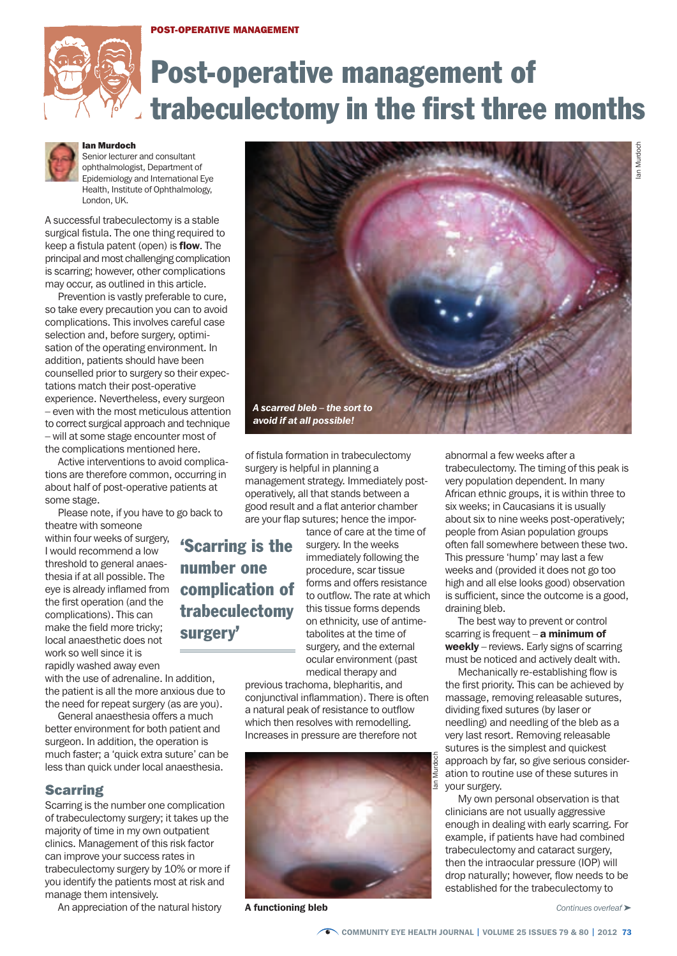#### **POST-OPERATIVE MANAGEMENT**



# Post-operative management of trabeculectomy in the first three months



#### **Ian Murdoch**

Senior lecturer and consultant ophthalmologist, Department of Epidemiology and International Eye Health, Institute of Ophthalmology, London, UK.

A successful trabeculectomy is a stable surgical fistula. The one thing required to keep a fistula patent (open) is **flow**. The principal and most challenging complication is scarring; however, other complications may occur, as outlined in this article.

Prevention is vastly preferable to cure, so take every precaution you can to avoid complications. This involves careful case selection and, before surgery, optimisation of the operating environment. In addition, patients should have been counselled prior to surgery so their expectations match their post-operative experience. Nevertheless, every surgeon – even with the most meticulous attention to correct surgical approach and technique – will at some stage encounter most of the complications mentioned here.

Active interventions to avoid complications are therefore common, occurring in about half of post-operative patients at some stage.

Please note, if you have to go back to

theatre with someone within four weeks of surgery, I would recommend a low threshold to general anaesthesia if at all possible. The eye is already inflamed from the first operation (and the complications). This can make the field more tricky; local anaesthetic does not work so well since it is rapidly washed away even

with the use of adrenaline. In addition, the patient is all the more anxious due to the need for repeat surgery (as are you).

General anaesthesia offers a much better environment for both patient and surgeon. In addition, the operation is much faster; a 'quick extra suture' can be less than quick under local anaesthesia.

## **Scarring**

Scarring is the number one complication of trabeculectomy surgery; it takes up the majority of time in my own outpatient clinics. Management of this risk factor can improve your success rates in trabeculectomy surgery by 10% or more if you identify the patients most at risk and manage them intensively.

An appreciation of the natural history



of fistula formation in trabeculectomy surgery is helpful in planning a management strategy. Immediately postoperatively, all that stands between a good result and a flat anterior chamber are your flap sutures; hence the impor-

'Scarring is the number one complication of trabeculectomy surgery'

tance of care at the time of surgery. In the weeks immediately following the procedure, scar tissue forms and offers resistance to outflow. The rate at which this tissue forms depends on ethnicity, use of antimetabolites at the time of surgery, and the external ocular environment (past medical therapy and

previous trachoma, blepharitis, and conjunctival inflammation). There is often a natural peak of resistance to outflow which then resolves with remodelling. Increases in pressure are therefore not



a functioning bleb

abnormal a few weeks after a trabeculectomy. The timing of this peak is very population dependent. In many African ethnic groups, it is within three to six weeks; in Caucasians it is usually about six to nine weeks post-operatively; people from Asian population groups often fall somewhere between these two. This pressure 'hump' may last a few weeks and (provided it does not go too high and all else looks good) observation is sufficient, since the outcome is a good, draining bleb.

The best way to prevent or control scarring is frequent  $-$  a minimum of weekly – reviews. Early signs of scarring must be noticed and actively dealt with.

Mechanically re-establishing flow is the first priority. This can be achieved by massage, removing releasable sutures, dividing fixed sutures (by laser or needling) and needling of the bleb as a very last resort. Removing releasable sutures is the simplest and quickest approach by far, so give serious consideration to routine use of these sutures in your surgery.

My own personal observation is that clinicians are not usually aggressive enough in dealing with early scarring. For example, if patients have had combined trabeculectomy and cataract surgery, then the intraocular pressure (IOP) will drop naturally; however, flow needs to be established for the trabeculectomy to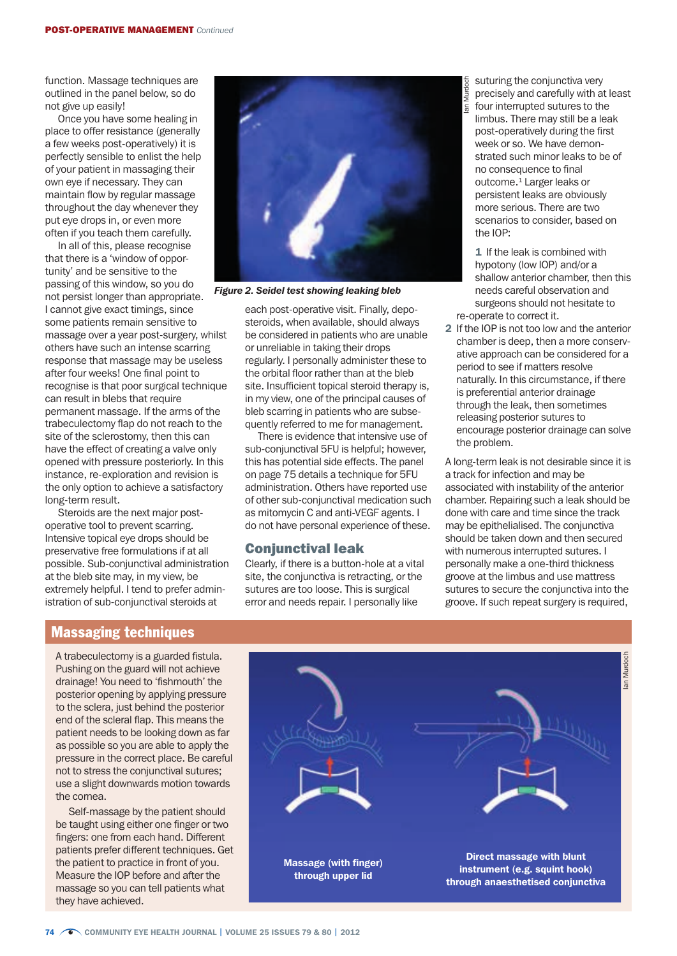function. Massage techniques are outlined in the panel below, so do not give up easily!

Once you have some healing in place to offer resistance (generally a few weeks post-operatively) it is perfectly sensible to enlist the help of your patient in massaging their own eye if necessary. They can maintain flow by regular massage throughout the day whenever they put eye drops in, or even more often if you teach them carefully.

In all of this, please recognise that there is a 'window of opportunity' and be sensitive to the passing of this window, so you do not persist longer than appropriate. I cannot give exact timings, since some patients remain sensitive to massage over a year post-surgery, whilst others have such an intense scarring response that massage may be useless after four weeks! One final point to recognise is that poor surgical technique can result in blebs that require permanent massage. If the arms of the trabeculectomy flap do not reach to the site of the sclerostomy, then this can have the effect of creating a valve only opened with pressure posteriorly. In this instance, re-exploration and revision is the only option to achieve a satisfactory long-term result.

Steroids are the next major postoperative tool to prevent scarring. Intensive topical eye drops should be preservative free formulations if at all possible. Sub-conjunctival administration at the bleb site may, in my view, be extremely helpful. I tend to prefer administration of sub-conjunctival steroids at



*Figure 2. Seidel test showing leaking bleb*

each post-operative visit. Finally, deposteroids, when available, should always be considered in patients who are unable or unreliable in taking their drops regularly. I personally administer these to the orbital floor rather than at the bleb site. Insufficient topical steroid therapy is, in my view, one of the principal causes of bleb scarring in patients who are subsequently referred to me for management.

There is evidence that intensive use of sub-conjunctival 5FU is helpful; however, this has potential side effects. The panel on page 75 details a technique for 5FU administration. Others have reported use of other sub-conjunctival medication such as mitomycin C and anti-VEGF agents. I do not have personal experience of these.

#### Conjunctival leak

Clearly, if there is a button-hole at a vital site, the conjunctiva is retracting, or the sutures are too loose. This is surgical error and needs repair. I personally like

suturing the conjunctiva very precisely and carefully with at least four interrupted sutures to the limbus. There may still be a leak post-operatively during the first week or so. We have demonstrated such minor leaks to be of no consequence to final outcome.1 Larger leaks or persistent leaks are obviously more serious. There are two scenarios to consider, based on the IOP:

Ian Murdoch

1 If the leak is combined with hypotony (low IOP) and/or a shallow anterior chamber, then this needs careful observation and surgeons should not hesitate to re-operate to correct it.

2 If the IOP is not too low and the anterior chamber is deep, then a more conservative approach can be considered for a period to see if matters resolve naturally. In this circumstance, if there is preferential anterior drainage through the leak, then sometimes releasing posterior sutures to encourage posterior drainage can solve the problem.

A long-term leak is not desirable since it is a track for infection and may be associated with instability of the anterior chamber. Repairing such a leak should be done with care and time since the track may be epithelialised. The conjunctiva should be taken down and then secured with numerous interrupted sutures. I personally make a one-third thickness groove at the limbus and use mattress sutures to secure the conjunctiva into the groove. If such repeat surgery is required,

# Massaging techniques

A trabeculectomy is a guarded fistula. Pushing on the guard will not achieve drainage! You need to 'fishmouth' the posterior opening by applying pressure to the sclera, just behind the posterior end of the scleral flap. This means the patient needs to be looking down as far as possible so you are able to apply the pressure in the correct place. Be careful not to stress the conjunctival sutures; use a slight downwards motion towards the cornea.

Self-massage by the patient should be taught using either one finger or two fingers: one from each hand. Different patients prefer different techniques. Get the patient to practice in front of you. Measure the IOP before and after the massage so you can tell patients what they have achieved.